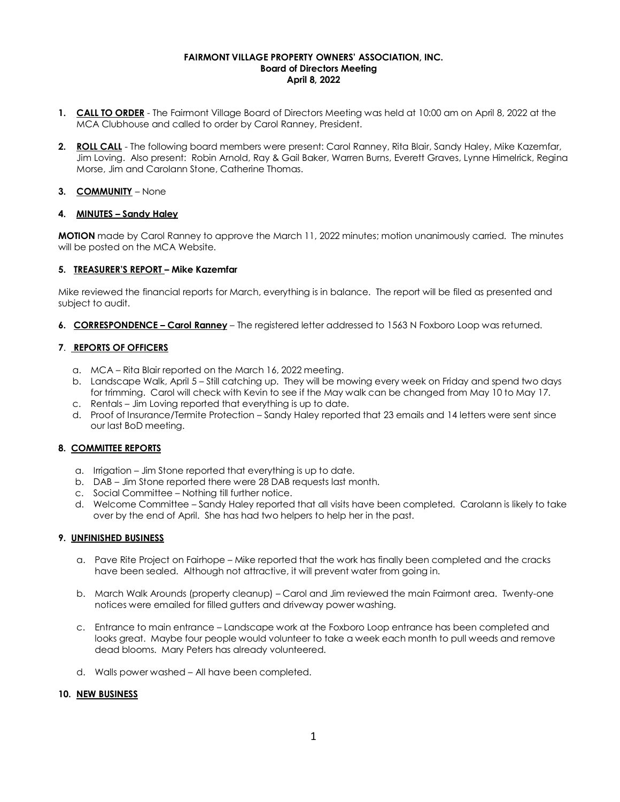#### **FAIRMONT VILLAGE PROPERTY OWNERS' ASSOCIATION, INC. Board of Directors Meeting April 8, 2022**

- **1. CALL TO ORDER** The Fairmont Village Board of Directors Meeting was held at 10:00 am on April 8, 2022 at the MCA Clubhouse and called to order by Carol Ranney, President.
- **2. ROLL CALL** The following board members were present: Carol Ranney, Rita Blair, Sandy Haley, Mike Kazemfar, Jim Loving. Also present: Robin Arnold, Ray & Gail Baker, Warren Burns, Everett Graves, Lynne Himelrick, Regina Morse, Jim and Carolann Stone, Catherine Thomas.

# **3. COMMUNITY** – None

#### **4. MINUTES – Sandy Haley**

**MOTION** made by Carol Ranney to approve the March 11, 2022 minutes; motion unanimously carried. The minutes will be posted on the MCA Website.

#### **5. TREASURER'S REPORT – Mike Kazemfar**

Mike reviewed the financial reports for March, everything is in balance. The report will be filed as presented and subject to audit.

**6. CORRESPONDENCE – Carol Ranney** – The registered letter addressed to 1563 N Foxboro Loop was returned.

# **7**. **REPORTS OF OFFICERS**

- a. MCA Rita Blair reported on the March 16, 2022 meeting.
- b. Landscape Walk, April 5 Still catching up. They will be mowing every week on Friday and spend two days for trimming. Carol will check with Kevin to see if the May walk can be changed from May 10 to May 17.
- c. Rentals Jim Loving reported that everything is up to date.
- d. Proof of Insurance/Termite Protection Sandy Haley reported that 23 emails and 14 letters were sent since our last BoD meeting.

# **8. COMMITTEE REPORTS**

- a. Irrigation Jim Stone reported that everything is up to date.
- b. DAB Jim Stone reported there were 28 DAB requests last month.
- c. Social Committee Nothing till further notice.
- d. Welcome Committee Sandy Haley reported that all visits have been completed. Carolann is likely to take over by the end of April. She has had two helpers to help her in the past.

# **9. UNFINISHED BUSINESS**

- a. Pave Rite Project on Fairhope Mike reported that the work has finally been completed and the cracks have been sealed. Although not attractive, it will prevent water from going in.
- b. March Walk Arounds (property cleanup) Carol and Jim reviewed the main Fairmont area. Twenty-one notices were emailed for filled gutters and driveway power washing.
- c. Entrance to main entrance Landscape work at the Foxboro Loop entrance has been completed and looks great. Maybe four people would volunteer to take a week each month to pull weeds and remove dead blooms. Mary Peters has already volunteered.
- d. Walls power washed All have been completed.

#### **10. NEW BUSINESS**